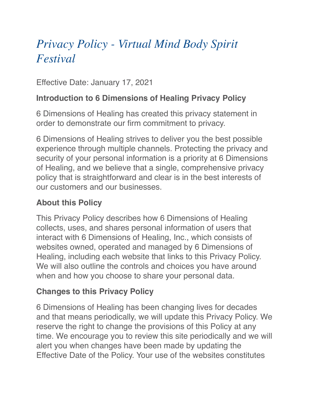# *Privacy Policy - Virtual Mind Body Spirit Festival*

Effective Date: January 17, 2021

#### **Introduction to 6 Dimensions of Healing Privacy Policy**

6 Dimensions of Healing has created this privacy statement in order to demonstrate our firm commitment to privacy.

6 Dimensions of Healing strives to deliver you the best possible experience through multiple channels. Protecting the privacy and security of your personal information is a priority at 6 Dimensions of Healing, and we believe that a single, comprehensive privacy policy that is straightforward and clear is in the best interests of our customers and our businesses.

#### **About this Policy**

This Privacy Policy describes how 6 Dimensions of Healing collects, uses, and shares personal information of users that interact with 6 Dimensions of Healing, Inc., which consists of websites owned, operated and managed by 6 Dimensions of Healing, including each website that links to this Privacy Policy. We will also outline the controls and choices you have around when and how you choose to share your personal data.

#### **Changes to this Privacy Policy**

6 Dimensions of Healing has been changing lives for decades and that means periodically, we will update this Privacy Policy. We reserve the right to change the provisions of this Policy at any time. We encourage you to review this site periodically and we will alert you when changes have been made by updating the Effective Date of the Policy. Your use of the websites constitutes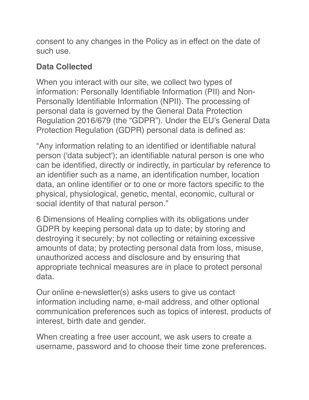consent to any changes in the Policy as in effect on the date of such use.

## **Data Collected**

When you interact with our site, we collect two types of information: Personally Identifiable Information (PII) and Non-Personally Identifiable Information (NPII). The processing of personal data is governed by the General Data Protection Regulation 2016/679 (the "GDPR"). Under the EU's General Data Protection Regulation (GDPR) personal data is defined as:

"Any information relating to an identified or identifiable natural person ('data subject'); an identifiable natural person is one who can be identified, directly or indirectly, in particular by reference to an identifier such as a name, an identification number, location data, an online identifier or to one or more factors specific to the physical, physiological, genetic, mental, economic, cultural or social identity of that natural person."

6 Dimensions of Healing complies with its obligations under GDPR by keeping personal data up to date; by storing and destroying it securely; by not collecting or retaining excessive amounts of data; by protecting personal data from loss, misuse, unauthorized access and disclosure and by ensuring that appropriate technical measures are in place to protect personal data.

Our online e-newsletter(s) asks users to give us contact information including name, e-mail address, and other optional communication preferences such as topics of interest, products of interest, birth date and gender.

When creating a free user account, we ask users to create a username, password and to choose their time zone preferences.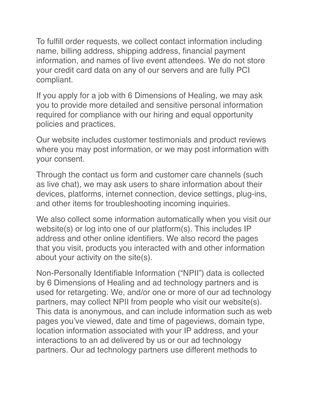To fulfill order requests, we collect contact information including name, billing address, shipping address, financial payment information, and names of live event attendees. We do not store your credit card data on any of our servers and are fully PCI compliant.

If you apply for a job with 6 Dimensions of Healing, we may ask you to provide more detailed and sensitive personal information required for compliance with our hiring and equal opportunity policies and practices.

Our website includes customer testimonials and product reviews where you may post information, or we may post information with your consent.

Through the contact us form and customer care channels (such as live chat), we may ask users to share information about their devices, platforms, internet connection, device settings, plug-ins, and other items for troubleshooting incoming inquiries.

We also collect some information automatically when you visit our website(s) or log into one of our platform(s). This includes IP address and other online identifiers. We also record the pages that you visit, products you interacted with and other information about your activity on the site(s).

Non-Personally Identifiable Information ("NPII") data is collected by 6 Dimensions of Healing and ad technology partners and is used for retargeting. We, and/or one or more of our ad technology partners, may collect NPII from people who visit our website(s). This data is anonymous, and can include information such as web pages you've viewed, date and time of pageviews, domain type, location information associated with your IP address, and your interactions to an ad delivered by us or our ad technology partners. Our ad technology partners use different methods to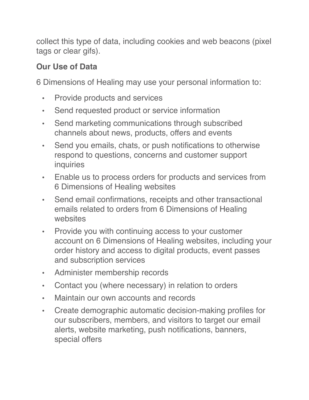collect this type of data, including cookies and web beacons (pixel tags or clear gifs).

## **Our Use of Data**

6 Dimensions of Healing may use your personal information to:

- Provide products and services
- Send requested product or service information
- Send marketing communications through subscribed channels about news, products, offers and events
- Send you emails, chats, or push notifications to otherwise respond to questions, concerns and customer support inquiries
- Enable us to process orders for products and services from 6 Dimensions of Healing websites
- Send email confirmations, receipts and other transactional emails related to orders from 6 Dimensions of Healing websites
- Provide you with continuing access to your customer account on 6 Dimensions of Healing websites, including your order history and access to digital products, event passes and subscription services
- Administer membership records
- Contact you (where necessary) in relation to orders
- Maintain our own accounts and records
- Create demographic automatic decision-making profiles for our subscribers, members, and visitors to target our email alerts, website marketing, push notifications, banners, special offers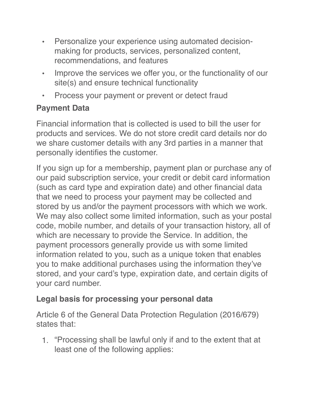- Personalize your experience using automated decisionmaking for products, services, personalized content, recommendations, and features
- Improve the services we offer you, or the functionality of our site(s) and ensure technical functionality
- Process your payment or prevent or detect fraud

# **Payment Data**

Financial information that is collected is used to bill the user for products and services. We do not store credit card details nor do we share customer details with any 3rd parties in a manner that personally identifies the customer.

If you sign up for a membership, payment plan or purchase any of our paid subscription service, your credit or debit card information (such as card type and expiration date) and other financial data that we need to process your payment may be collected and stored by us and/or the payment processors with which we work. We may also collect some limited information, such as your postal code, mobile number, and details of your transaction history, all of which are necessary to provide the Service. In addition, the payment processors generally provide us with some limited information related to you, such as a unique token that enables you to make additional purchases using the information they've stored, and your card's type, expiration date, and certain digits of your card number.

## **Legal basis for processing your personal data**

Article 6 of the General Data Protection Regulation (2016/679) states that:

1. "Processing shall be lawful only if and to the extent that at least one of the following applies: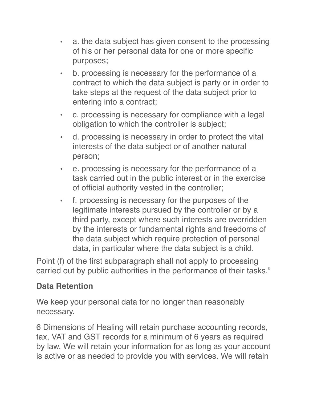- a. the data subject has given consent to the processing of his or her personal data for one or more specific purposes;
- b. processing is necessary for the performance of a contract to which the data subject is party or in order to take steps at the request of the data subject prior to entering into a contract;
- c. processing is necessary for compliance with a legal obligation to which the controller is subject;
- d. processing is necessary in order to protect the vital interests of the data subject or of another natural person;
- e. processing is necessary for the performance of a task carried out in the public interest or in the exercise of official authority vested in the controller;
- f. processing is necessary for the purposes of the legitimate interests pursued by the controller or by a third party, except where such interests are overridden by the interests or fundamental rights and freedoms of the data subject which require protection of personal data, in particular where the data subject is a child.

Point (f) of the first subparagraph shall not apply to processing carried out by public authorities in the performance of their tasks."

#### **Data Retention**

We keep your personal data for no longer than reasonably necessary.

6 Dimensions of Healing will retain purchase accounting records, tax, VAT and GST records for a minimum of 6 years as required by law. We will retain your information for as long as your account is active or as needed to provide you with services. We will retain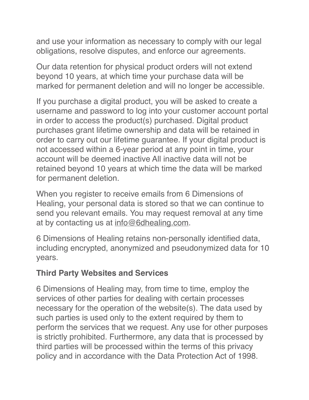and use your information as necessary to comply with our legal obligations, resolve disputes, and enforce our agreements.

Our data retention for physical product orders will not extend beyond 10 years, at which time your purchase data will be marked for permanent deletion and will no longer be accessible.

If you purchase a digital product, you will be asked to create a username and password to log into your customer account portal in order to access the product(s) purchased. Digital product purchases grant lifetime ownership and data will be retained in order to carry out our lifetime guarantee. If your digital product is not accessed within a 6-year period at any point in time, your account will be deemed inactive All inactive data will not be retained beyond 10 years at which time the data will be marked for permanent deletion.

When you register to receive emails from 6 Dimensions of Healing, your personal data is stored so that we can continue to send you relevant emails. You may request removal at any time at by contacting us at [info@6dhealing.com.](mailto:info@6dhealing.com)

6 Dimensions of Healing retains non-personally identified data, including encrypted, anonymized and pseudonymized data for 10 years.

#### **Third Party Websites and Services**

6 Dimensions of Healing may, from time to time, employ the services of other parties for dealing with certain processes necessary for the operation of the website(s). The data used by such parties is used only to the extent required by them to perform the services that we request. Any use for other purposes is strictly prohibited. Furthermore, any data that is processed by third parties will be processed within the terms of this privacy policy and in accordance with the Data Protection Act of 1998.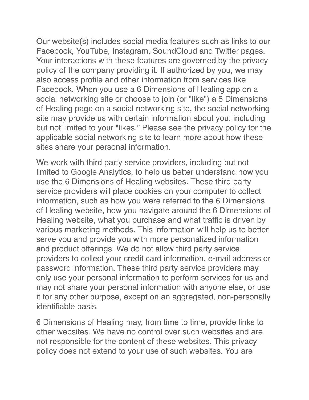Our website(s) includes social media features such as links to our Facebook, YouTube, Instagram, SoundCloud and Twitter pages. Your interactions with these features are governed by the privacy policy of the company providing it. If authorized by you, we may also access profile and other information from services like Facebook. When you use a 6 Dimensions of Healing app on a social networking site or choose to join (or "like") a 6 Dimensions of Healing page on a social networking site, the social networking site may provide us with certain information about you, including but not limited to your "likes." Please see the privacy policy for the applicable social networking site to learn more about how these sites share your personal information.

We work with third party service providers, including but not limited to Google Analytics, to help us better understand how you use the 6 Dimensions of Healing websites. These third party service providers will place cookies on your computer to collect information, such as how you were referred to the 6 Dimensions of Healing website, how you navigate around the 6 Dimensions of Healing website, what you purchase and what traffic is driven by various marketing methods. This information will help us to better serve you and provide you with more personalized information and product offerings. We do not allow third party service providers to collect your credit card information, e-mail address or password information. These third party service providers may only use your personal information to perform services for us and may not share your personal information with anyone else, or use it for any other purpose, except on an aggregated, non-personally identifiable basis.

6 Dimensions of Healing may, from time to time, provide links to other websites. We have no control over such websites and are not responsible for the content of these websites. This privacy policy does not extend to your use of such websites. You are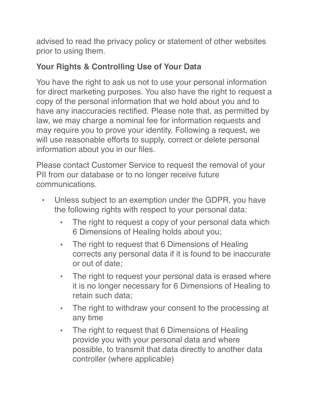advised to read the privacy policy or statement of other websites prior to using them.

## **Your Rights & Controlling Use of Your Data**

You have the right to ask us not to use your personal information for direct marketing purposes. You also have the right to request a copy of the personal information that we hold about you and to have any inaccuracies rectified. Please note that, as permitted by law, we may charge a nominal fee for information requests and may require you to prove your identity. Following a request, we will use reasonable efforts to supply, correct or delete personal information about you in our files.

Please contact Customer Service to request the removal of your PII from our database or to no longer receive future communications.

- Unless subject to an exemption under the GDPR, you have the following rights with respect to your personal data:
	- The right to request a copy of your personal data which 6 Dimensions of Healing holds about you;
	- The right to request that 6 Dimensions of Healing corrects any personal data if it is found to be inaccurate or out of date;
	- The right to request your personal data is erased where it is no longer necessary for 6 Dimensions of Healing to retain such data;
	- The right to withdraw your consent to the processing at any time
	- The right to request that 6 Dimensions of Healing provide you with your personal data and where possible, to transmit that data directly to another data controller (where applicable)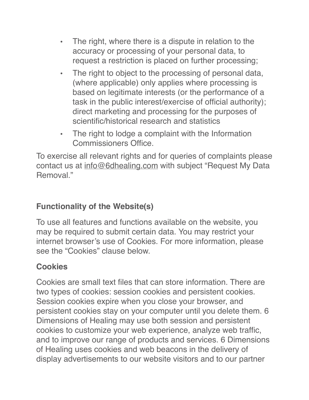- The right, where there is a dispute in relation to the accuracy or processing of your personal data, to request a restriction is placed on further processing;
- The right to object to the processing of personal data, (where applicable) only applies where processing is based on legitimate interests (or the performance of a task in the public interest/exercise of official authority); direct marketing and processing for the purposes of scientific/historical research and statistics
- The right to lodge a complaint with the Information Commissioners Office.

To exercise all relevant rights and for queries of complaints please contact us at [info@6dhealing.com](mailto:info@6dhealing.com) with subject "Request My Data Removal<sup>"</sup>

## **Functionality of the Website(s)**

To use all features and functions available on the website, you may be required to submit certain data. You may restrict your internet browser's use of Cookies. For more information, please see the "Cookies" clause below.

# **Cookies**

Cookies are small text files that can store information. There are two types of cookies: session cookies and persistent cookies. Session cookies expire when you close your browser, and persistent cookies stay on your computer until you delete them. 6 Dimensions of Healing may use both session and persistent cookies to customize your web experience, analyze web traffic, and to improve our range of products and services. 6 Dimensions of Healing uses cookies and web beacons in the delivery of display advertisements to our website visitors and to our partner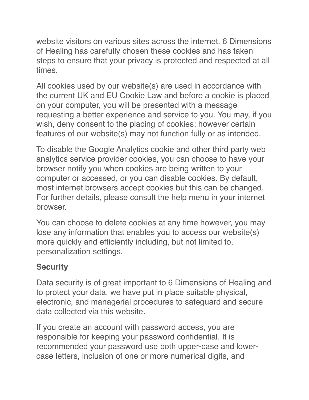website visitors on various sites across the internet. 6 Dimensions of Healing has carefully chosen these cookies and has taken steps to ensure that your privacy is protected and respected at all times.

All cookies used by our website(s) are used in accordance with the current UK and EU Cookie Law and before a cookie is placed on your computer, you will be presented with a message requesting a better experience and service to you. You may, if you wish, deny consent to the placing of cookies; however certain features of our website(s) may not function fully or as intended.

To disable the Google Analytics cookie and other third party web analytics service provider cookies, you can choose to have your browser notify you when cookies are being written to your computer or accessed, or you can disable cookies. By default, most internet browsers accept cookies but this can be changed. For further details, please consult the help menu in your internet browser.

You can choose to delete cookies at any time however, you may lose any information that enables you to access our website(s) more quickly and efficiently including, but not limited to, personalization settings.

## **Security**

Data security is of great important to 6 Dimensions of Healing and to protect your data, we have put in place suitable physical, electronic, and managerial procedures to safeguard and secure data collected via this website.

If you create an account with password access, you are responsible for keeping your password confidential. It is recommended your password use both upper-case and lowercase letters, inclusion of one or more numerical digits, and